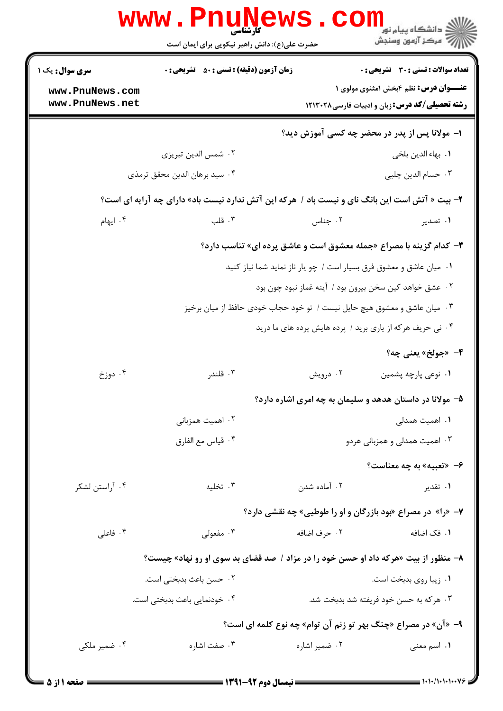|                                                                     | www.PnuNews<br>حضرت علی(ع): دانش راهبر نیکویی برای ایمان است                                   |               | د دانشگاه پيام نو <mark>.</mark><br>چ=مرکز آزمون وسنجش                                                |  |
|---------------------------------------------------------------------|------------------------------------------------------------------------------------------------|---------------|-------------------------------------------------------------------------------------------------------|--|
| <b>سری سوال :</b> یک ۱                                              | <b>زمان آزمون (دقیقه) : تستی : 50 ٪ تشریحی : 0</b>                                             |               | <b>تعداد سوالات : تستی : 30 ٪ تشریحی : 0</b>                                                          |  |
| www.PnuNews.com<br>www.PnuNews.net                                  |                                                                                                |               | <b>عنـــوان درس:</b> نظم ۴بخش ۱مثنوی مولوی ۱<br><b>رشته تحصیلی/کد درس:</b> زبان و ادبیات فارسی۱۲۱۳۰۲۸ |  |
|                                                                     |                                                                                                |               | ۱– مولانا پس از پدر در محضر چه کسی آموزش دید؟                                                         |  |
|                                                                     | ۰۲ شمس الدين تبريزي                                                                            |               | ٠١. بهاء الدين بلخي                                                                                   |  |
|                                                                     | ۰۴ سيد برهان الدين محقق ترمذي                                                                  |               | ۰۳ حسام الدين چلبي                                                                                    |  |
|                                                                     | ۲- بیت « آتش است این بانگ نای و نیست باد / هرکه این آتش ندارد نیست باد» دارای چه آرایه ای است؟ |               |                                                                                                       |  |
| ۰۴ ایهام                                                            | ۰۳ قلب                                                                                         | ۰۲ جناس       | ۰۱ تصدیر                                                                                              |  |
|                                                                     |                                                                                                |               | <b>۳</b> - کدام گزینه با مصراع «جمله معشوق است و عاشق پرده ای» تناسب دارد؟                            |  |
| ٠١ ميان عاشق و معشوق فرق بسيار است / چو يار ناز نمايد شما نياز كنيد |                                                                                                |               |                                                                                                       |  |
| ٠٢ عشق خواهد كين سخن بيرون بود / آينه غماز نبود چون بود             |                                                                                                |               |                                                                                                       |  |
|                                                                     | ۰۳ میان عاشق و معشوق هیچ حایل نیست / تو خود حجاب خودی حافظ از میان برخیز                       |               |                                                                                                       |  |
|                                                                     |                                                                                                |               | ۰۴ نی حریف هرکه از یاری برید / پرده هایش پرده های ما درید                                             |  |
|                                                                     |                                                                                                |               | ۴- «جولخ» يعني چه؟                                                                                    |  |
| ۰۴ دوزخ                                                             | ۰۳ قلندر                                                                                       | ۰۲ درویش      | ٠١ نوعي پارچه پشمين                                                                                   |  |
|                                                                     |                                                                                                |               | ۵– مولانا در داستان هدهد و سلیمان به چه امری اشاره دارد؟                                              |  |
|                                                                     | ۰۲ اهمیت همزبانی                                                                               |               | ۰۱ اهمیت همدلی                                                                                        |  |
|                                                                     | ۰۴ قياس مع الفارق                                                                              |               | ۰۳ اهمیت همدلی و همزبانی هردو                                                                         |  |
|                                                                     |                                                                                                |               | ۶- «تعبيه» به چه معناست؟                                                                              |  |
| ۰۴ آراستن لشکر                                                      | ۰۳ تخلیه                                                                                       | ۰۲ آماده شدن  | ۰۱ تقدیر                                                                                              |  |
|                                                                     |                                                                                                |               | ۷- «را» در مصراع «بود بازرگان و او را طوطیی» چه نقشی دارد؟                                            |  |
| ۰۴ فاعلی                                                            | ۰۳ مفعولی                                                                                      | ٢.  حرف اضافه | ٠١ فک اضافه                                                                                           |  |
|                                                                     | ۸– منظور از بیت «هرکه داد او حسن خود را در مزاد / صد قضای بد سوی او رو نهاد» چیست؟             |               |                                                                                                       |  |
|                                                                     | ۰۲ حسن باعث بدبختی است.                                                                        |               | ٠١ زيبا روى بدبخت است.                                                                                |  |
|                                                                     | ۰۴ خودنمایی باعث بدبختی است.                                                                   |               | ۰۳ هر که به حسن خود فریفته شد بدبخت شد.                                                               |  |
|                                                                     |                                                                                                |               | ۹- «آن» در مصراع «چنگ بهر تو زنم آن توام» چه نوع کلمه ای است؟                                         |  |
| ۰۴ ضمیر ملک <sub>ی</sub>                                            | ۰۳ صفت اشاره                                                                                   |               |                                                                                                       |  |
|                                                                     |                                                                                                | ۰۲ ضمیر اشاره | ۰۱ اسم معنی                                                                                           |  |
|                                                                     |                                                                                                |               |                                                                                                       |  |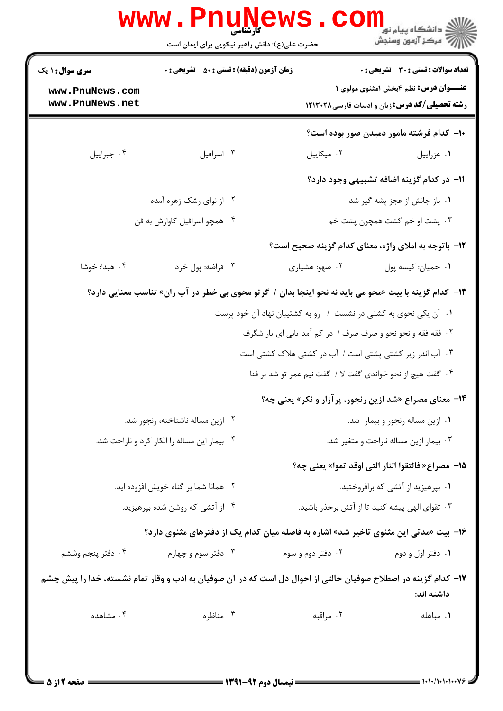|                                                                                                         | کار شناسی<br>حضرت علی(ع): دانش راهبر نیکویی برای ایمان است                                                     |                                                                                                       | د دانشگاه پيام نو <mark>ر</mark><br>ر آمرڪز آزمون وسنڊش |  |
|---------------------------------------------------------------------------------------------------------|----------------------------------------------------------------------------------------------------------------|-------------------------------------------------------------------------------------------------------|---------------------------------------------------------|--|
| <b>زمان آزمون (دقیقه) : تستی : 50 ٪ تشریحی : 0</b><br><b>سری سوال :</b> ۱ یک                            |                                                                                                                | تعداد سوالات : تستى : 30 - تشريحي : 0                                                                 |                                                         |  |
| www.PnuNews.com<br>www.PnuNews.net                                                                      |                                                                                                                | <b>عنـــوان درس:</b> نظم ۴بخش ۱مثنوی مولوی ۱<br><b>رشته تحصیلی/کد درس:</b> زبان و ادبیات فارسی1۲۱۳۰۲۸ |                                                         |  |
|                                                                                                         |                                                                                                                | ۱۰– کدام فرشته مامور دمیدن صور بوده است؟                                                              |                                                         |  |
| ۰۴ جبراييل                                                                                              | ۰۳ اسرافيل                                                                                                     | ٠٢ ميكاييل                                                                                            | ٠١ عزراييل                                              |  |
|                                                                                                         |                                                                                                                | 11– در کدام گزینه اضافه تشبیهی وجود دارد؟                                                             |                                                         |  |
|                                                                                                         | ۰۲ از نوای رشک زهره آمده                                                                                       | ۰۱ باز جانش از عجز پشه گیر شد                                                                         |                                                         |  |
| ۰۴ همچو اسرافیل کاوازش به فن                                                                            |                                                                                                                | ۰۳ پشت او خم گشت همچون پشت خم                                                                         |                                                         |  |
|                                                                                                         |                                                                                                                | 1۲– باتوجه به املای واژه، معنای کدام گزینه صحیح است؟                                                  |                                                         |  |
| ۰۴ هبذا: خوشا                                                                                           | ۰۳ قراضه: پول خرد                                                                                              | ۰۲ صهو: هشیاری                                                                                        | ٠١ حميان: كيسه پول                                      |  |
| ۱۳- کدام گزینه با بیت «محو می باید نه نحو اینجا بدان /  گر تو محوی بی خطر در آب ران» تناسب معنایی دارد؟ |                                                                                                                |                                                                                                       |                                                         |  |
|                                                                                                         |                                                                                                                | ۰۱ آن یکی نحوی به کشتی در نشست ۱ رو به کشتیبان نهاد آن خود پرست                                       |                                                         |  |
|                                                                                                         |                                                                                                                | ۰۲ فقه فقه و نحو نحو و صرف صرف / در کم آمد یابی ای یار شگرف                                           |                                                         |  |
|                                                                                                         |                                                                                                                | ۰۳ آب اندر زیر کشتی پشتی است / آب در کشتی هلاک کشتی است                                               |                                                         |  |
|                                                                                                         |                                                                                                                | ۰۴ گفت هیچ از نحو خواندی گفت لا / گفت نیم عمر تو شد بر فنا                                            |                                                         |  |
|                                                                                                         |                                                                                                                | <b>۱۴</b> - معنای مصراع «شد ازین رنجور، پرآزار و نکر» یعنی چه؟                                        |                                                         |  |
| ۰۲ ازین مساله ناشناخته، رنجور شد.                                                                       |                                                                                                                | ٠١ ازين مساله رنجور و بيمار شد.                                                                       |                                                         |  |
| ۰۴ بیمار این مساله را انکار کرد و ناراحت شد.                                                            |                                                                                                                | ۰۳ بیمار ازین مساله ناراحت و متغیر شد.                                                                |                                                         |  |
|                                                                                                         |                                                                                                                | 15- مصراع« فالتقوا النار التي اوقد تموا» يعني چه؟                                                     |                                                         |  |
|                                                                                                         | ٠٢ همانا شما بر گناه خويش افزوده ايد.                                                                          | ۰۱ بپرهیزید از آتشی که برافروختید.                                                                    |                                                         |  |
| ۰۴ از آتشی که روشن شده بپرهیزید.                                                                        |                                                                                                                | ۰۳ تقوای الهی پیشه کنید تا از آتش برحذر باشید.                                                        |                                                         |  |
|                                                                                                         | ۱۶- بیت «مدتی این مثنوی تاخیر شد» اشاره به فاصله میان کدام یک از دفترهای مثنوی دارد؟                           |                                                                                                       |                                                         |  |
| ۰۴ دفتر پنجم وششم                                                                                       | ۰۳ دفتر سوم و چهارم                                                                                            | ۰۲ دفتر دوم و سوم                                                                                     | ۰۱ دفتر اول و دوم                                       |  |
|                                                                                                         | ۱۷– کدام گزینه در اصطلاح صوفیان حالتی از احوال دل است که در آن صوفیان به ادب و وقار تمام نشسته، خدا را پیش چشم |                                                                                                       | داشته اند:                                              |  |
| ۰۴ مشاهده                                                                                               | ۰۳ مناظره                                                                                                      | ۰۲ مراقبه                                                                                             | ٠١ مباهله                                               |  |
|                                                                                                         | - AMA AM - AL - T                                                                                              |                                                                                                       |                                                         |  |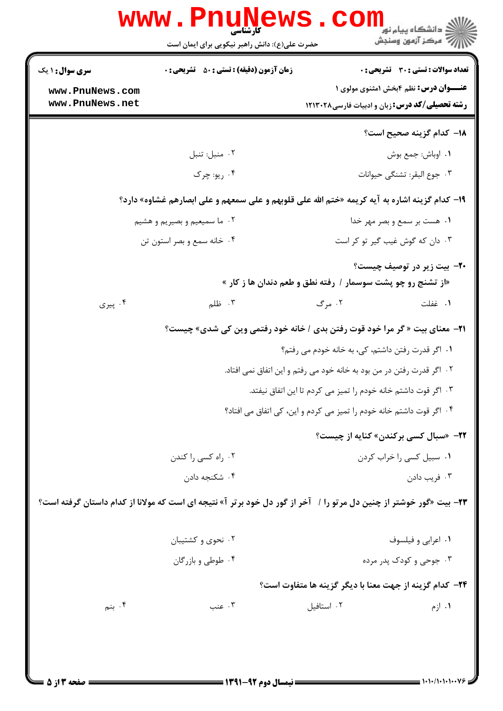| <b>WWW</b>                   | کارشناسی<br>حضرت علی(ع): دانش راهبر نیکویی برای ایمان است                                                          |                                                                         | ≦ دانشگاه پیام نو <mark>ر</mark><br>رِ آھرڪز آزمون وسنڊش |  |
|------------------------------|--------------------------------------------------------------------------------------------------------------------|-------------------------------------------------------------------------|----------------------------------------------------------|--|
| <b>سری سوال : ۱ یک</b>       | زمان آزمون (دقیقه) : تستی : ۵۰٪ تشریحی : ۰                                                                         |                                                                         | تعداد سوالات : تستى : 30 - تشريحي : 0                    |  |
| www.PnuNews.com              |                                                                                                                    |                                                                         | <b>عنـــوان درس:</b> نظم ۴بخش ۱مثنوی مولوی ۱             |  |
| www.PnuNews.net              |                                                                                                                    | <b>رشته تحصیلی/کد درس:</b> زبان و ادبیات فارسی1۲۱۳۰۲۸                   |                                                          |  |
|                              |                                                                                                                    |                                                                         | <b>۱۸</b> – کدام گزینه صحیح است؟                         |  |
|                              | ٠٢ منبل: تنبل                                                                                                      |                                                                         | ٠١. اوباش: جمع بوش                                       |  |
|                              | ۰۴ ريو: چرک                                                                                                        |                                                                         | ٠٣ جوع البقر: تشنگي حيوانات                              |  |
|                              | ۱۹- کدام گزینه اشاره به آیه کریمه «ختم الله علی قلوبهم و علی سمعهم و علی ابصارهم غشاوه» دارد؟                      |                                                                         |                                                          |  |
| ۰۲ ما سمیعیم و بصیریم و هشیم |                                                                                                                    |                                                                         | ۰۱ هست بر سمع و بصر مهر خدا                              |  |
|                              | ۰۴ خانه سمع و بصر استون تن                                                                                         |                                                                         | ۰۳ دان که گوش غیب گیر تو کر است                          |  |
|                              |                                                                                                                    | «از تشنج رو چو پشت سوسمار / رفته نطق و طعم دندان ها ز کار »             | <b>۲۰</b> - بیت زیر در توصیف چیست؟                       |  |
| ۰۴ پیری                      | ۰۳ ظلم                                                                                                             | ۰۲ مرگ                                                                  | ٠١. غفلت                                                 |  |
|                              | <b>۲۱</b> - معنای بیت « گر مرا خود قوت رفتن بدی / خانه خود رفتمی وین کی شدی» چیست؟                                 |                                                                         |                                                          |  |
|                              |                                                                                                                    | ۰۱ اگر قدرت رفتن داشتم، کی، به خانه خودم می رفتم؟                       |                                                          |  |
|                              |                                                                                                                    | ۲ .  اگر قدرت رفتن در من بود به خانه خود می رفتم و این اتفاق نمی افتاد. |                                                          |  |
|                              |                                                                                                                    | ۰۳ اگر قوت داشتم خانه خودم را تمیز می کردم تا این اتفاق نیفتد.          |                                                          |  |
|                              |                                                                                                                    | ۰۴ اگر قوت داشتم خانه خودم را تمیز می کردم و این، کی اتفاق می افتاد؟    |                                                          |  |
|                              |                                                                                                                    |                                                                         | <b>٢٢- «سبال کسی برکندن» کنایه از چیست؟</b>              |  |
|                              | ۰۲ راه کسی را کندن                                                                                                 |                                                                         | ٠١ سبيل كسى را خراب كردن                                 |  |
|                              | ۰۴ شکنجه دادن                                                                                                      |                                                                         | ۰۳ فريب دادن                                             |  |
|                              | ۲۳- بیت «گور خوشتر از چنین دل مرتو را / آخر از گور دل خود برتر آ» نتیجه ای است که مولانا از کدام داستان گرفته است؟ |                                                                         |                                                          |  |
|                              | ۰۲ نحوی و کشتیبان                                                                                                  |                                                                         | ۰۱ اعرابي و فيلسوف                                       |  |
| ۰۴ طوطی و بازرگان            |                                                                                                                    |                                                                         | ۰۳ جوحی و کودک پدر مرده                                  |  |
|                              |                                                                                                                    | <b>۲۴</b> – كدام گزينه از جهت معنا با ديگر گزينه ها متفاوت است؟         |                                                          |  |
| ۰۴ بنم                       | ۰۳ عنب                                                                                                             | ۰۲ استافیل                                                              | ۰۱ ازم                                                   |  |
|                              |                                                                                                                    |                                                                         |                                                          |  |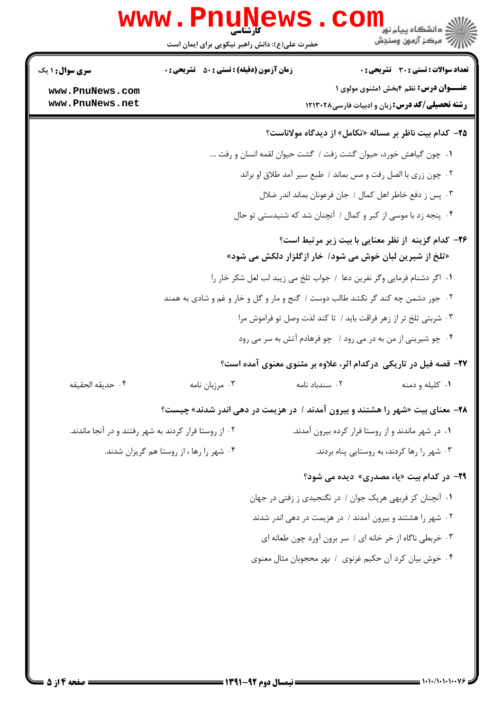|                                           |                                                                                      | حضرت علی(ع): دانش راهبر نیکویی برای ایمان است                          | دانشکاه پیام نور<br>ا∛ مرکز آزمون وسنجش<br><b>تعداد سوالات : تستی : 30 ٪ تشریحی : 0</b> |
|-------------------------------------------|--------------------------------------------------------------------------------------|------------------------------------------------------------------------|-----------------------------------------------------------------------------------------|
| <b>سری سوال : ۱ یک</b><br>www.PnuNews.com | <b>زمان آزمون (دقیقه) : تستی : 50 ٪ تشریحی : 0</b>                                   |                                                                        | <b>عنــوان درس:</b> نظم ۴بخش ۱مثنوی مولوی ۱                                             |
| www.PnuNews.net                           |                                                                                      |                                                                        | <b>رشته تحصیلی/کد درس:</b> زبان و ادبیات فارسی۲۱۳۰۲۸                                    |
|                                           |                                                                                      | <b>۲۵</b> - کدام بیت ناظر بر مساله «تکامل» از دیدگاه مولاناست؟         |                                                                                         |
|                                           |                                                                                      | ١. چون گیاهش خورد، حیوان گشت زفت / گشت حیوان لقمه انسان و رفت          |                                                                                         |
|                                           |                                                                                      | ۰۲ چون زری با الصل رفت و مس بماند / طبع سیر آمد طلاق او براند          |                                                                                         |
|                                           |                                                                                      | ۰۳ پس ز دفع خاطر اهل کمال / جان فرعونان بماند اندر ضلال                |                                                                                         |
|                                           |                                                                                      | ۰۴ پنجه زد با موسی از کبر و کمال / آنچنان شد که شنیدستی تو حال         |                                                                                         |
|                                           |                                                                                      | «تلخ از شیرین لبان خوش می شود/ خار ازگلزار دلکش می شود»                | ۲۶- کدام گزینه از نظر معنایی با بیت زیر مرتبط است؟                                      |
|                                           |                                                                                      | ١. اگر دشنام فرمایی وگر نفرین دعا ١ جواب تلخ می زیبد لب لعل شکر خار را |                                                                                         |
|                                           | ۰۲ جور دشمن چه کند گر نکشد طالب دوست / گنج و مار و گل و خار و غم و شادی به همند      |                                                                        |                                                                                         |
|                                           |                                                                                      | ۰۳ شربتی تلخ تر از زهر فراقت باید / تا کند لذت وصل تو فراموش مرا       |                                                                                         |
|                                           |                                                                                      | ۰۴ چو شیرینی از من به در می رود / چو فرهادم آتش به سر می رود           |                                                                                         |
|                                           |                                                                                      | ۲۷- قصه فیل در تاریکی درکدام اثر، علاوه بر مثنوی معنوی آمده است؟       |                                                                                         |
| ۰۴ حديقه الحقيقه                          | ۰۳ مرزبان نامه                                                                       | ۰۲ سندباد نامه                                                         | ۰۱ کلیله و دمنه                                                                         |
|                                           | <b>۲۸</b> - معنای بیت «شهر را هشتند و بیرون آمدند / در هزیمت در دهی اندر شدند» چیست؟ |                                                                        |                                                                                         |
|                                           | ۰۲ از روستا فرار کردند به شهر رفتند و در آنجا ماندند.                                |                                                                        | ۰۱ در شهر ماندند و از روستا فرار کرده بیرون آمدند.                                      |
|                                           | ۰۴ شهر را رها ، از روستا هم گریزان شدند.                                             |                                                                        | ۰۳ شهر را رها کردند، به روستایی پناه بردند.                                             |
|                                           |                                                                                      |                                                                        | <b>۲۹</b> - در کدام بیت «یاء مصدری» دیده می شود؟                                        |
|                                           |                                                                                      | ۰۱ آنچنان کز فربهی هریک جوان / در نگنجیدی ز زفتی در جهان               |                                                                                         |
|                                           |                                                                                      | ۰۲ شهر را هشتند و بیرون آمدند / در هزیمت در دهی اندر شدند              |                                                                                         |
|                                           |                                                                                      | ۰۳ خربطی ناگاه از خر خانه ای / سر برون آورد چون طعانه ای               |                                                                                         |
|                                           |                                                                                      | ۰۴ خوش بیان کرد آن حکیم غزنوی / بهر محجوبان مثال معنوی                 |                                                                                         |